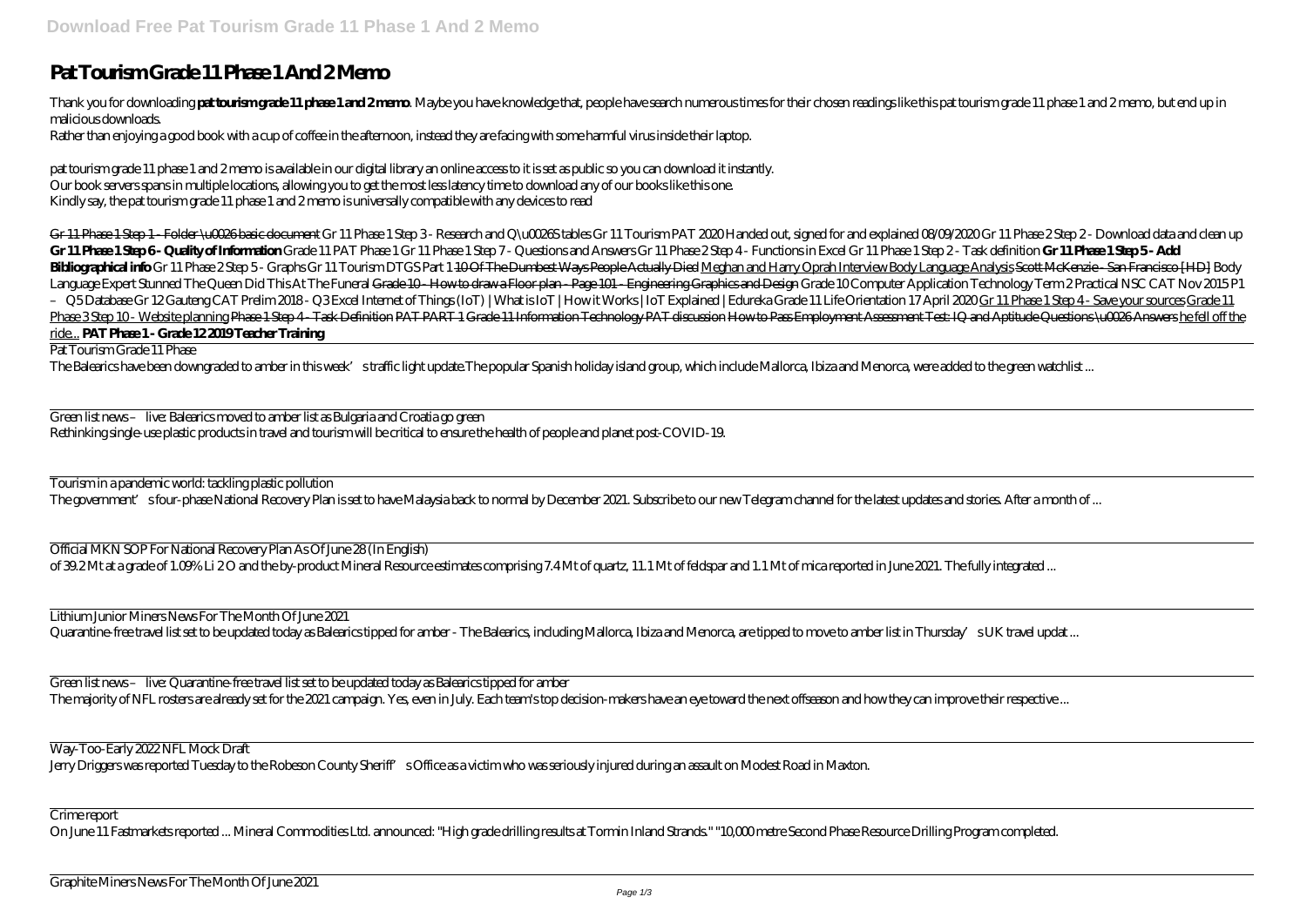## **Pat Tourism Grade 11 Phase 1 And 2 Memo**

Thank you for downloading **pat tourismgrade 11 phase 1 and 2mmp**. Maybe you have knowledge that, people have search numerous times for their chosen readings like this pat tourism grade 11 phase 1 and 2 memo, but end up in malicious downloads.

Rather than enjoying a good book with a cup of coffee in the afternoon, instead they are facing with some harmful virus inside their laptop.

pat tourism grade 11 phase 1 and 2 memo is available in our digital library an online access to it is set as public so you can download it instantly. Our book servers spans in multiple locations, allowing you to get the most less latency time to download any of our books like this one. Kindly say, the pat tourism grade 11 phase 1 and 2 memo is universally compatible with any devices to read

Gr 11 Phase 1 Step 1 - Folder \u0026 basic document Gr 11 Phase 1 Step 3- Research and Q \u0026 tables Gr 11 Tourism PAT 2020 Handed out, signed for and explained 08/09/2020 Gr 11 Phase 2 Step 2- Download data and clean up Gr 11 Phase 1 Step 6- Quality of Information Grade 11 PAT Phase 1 Gr 11 Phase 1 Step 7- Questions and Answers Gr 11 Phase 2 Step 4- Functions in Excel Gr 11 Phase 1 Step 2- Task definition Gr 11 Phase 1 Step 5- Add Bibliographical info Gr 11 Phase 2Step 5- Graphs Gr 11 Tourism DTGS Part 1400f The Dumbest Ways People Actually Died Meghan and Harry Oprah Interview Body Language Analysis Scott McKenzie - San Francisco [HD] Body Language Expert Stunned The Queen Did This At The Funeral Grade 10 How to draw a Floor plan - Page 101 - Engineering Graphics and Design Grade 10Computer Application Technology Term 2 Practical NSC CAT Nov 2015 P1 - Q5DatabaseGr 12Gauteng CAT Prelim 2018- Q3Excel Internet of Things (IoT) | What is IoT | How it Works | IoT Explained | Edureka Grade 11 Life Orientation 17 April 2020 Gr 11 Phase 1 Step 4 - Save your sources Grade 11 Phase 3 Step 10 - Website planning Phase 1 Step 4 - Task Definition PAT PART 1 Grade 11 Information Technology PAT discussion How to Pass Employment Assessment Test: IQ and Aptitude Questions \u0026 Answers he fell off the ride... **PAT Phase 1 - Grade 12 2019 Teacher Training**

Tourism in a pandemic world: tackling plastic pollution The government' sfour-phase National Recovery Plan is set to have Malaysia back to normal by December 2021. Subscribe to our new Telegram channel for the latest updates and stories. After a month of ...

Official MKN SOP For National Recovery Plan As Of June 28 (In English) of 39.2 Mt at a grade of 1.09% Li 20 and the by-product Mineral Resource estimates comprising 7.4 Mt of quartz, 11.1 Mt of feldspar and 1.1 Mt of mica reported in June 2021. The fully integrated ...

Lithium Junior Miners News For The Month Of June 2021 Quarantine-free travel list set to be updated today as Balearics tipped for amber - The Balearics, including Mallorca, Ibiza and Menorca, are tipped to move to amber list in Thursday's UK travel updat ...

Green list news – live: Quarantine-free travel list set to be updated today as Balearics tipped for amber The majority of NFL rosters are already set for the 2021 campaign. Yes, even in July. Each team's top decision-makers have an eye toward the next offseason and how they can improve their respective ...

Pat Tourism Grade 11 Phase

The Balearics have been downgraded to amber in this week's traffic light update.The popular Spanish holiday island group, which include Mallorca, Ibiza and Menorca, were added to the green watchlist ...

Green list news – live: Balearics moved to amber list as Bulgaria and Croatia go green Rethinking single-use plastic products in travel and tourism will be critical to ensure the health of people and planet post-COVID-19.

Way-Too-Early 2022 NFL Mock Draft

Jerry Driggers was reported Tuesday to the Robeson County Sheriff's Office as a victim who was seriously injured during an assault on Modest Road in Maxton.

Crime report

On June 11 Fastmarkets reported ... Mineral Commodities Ltd. announced: "High grade drilling results at Tormin Inland Strands." "10,000 metre Second Phase Resource Drilling Program completed.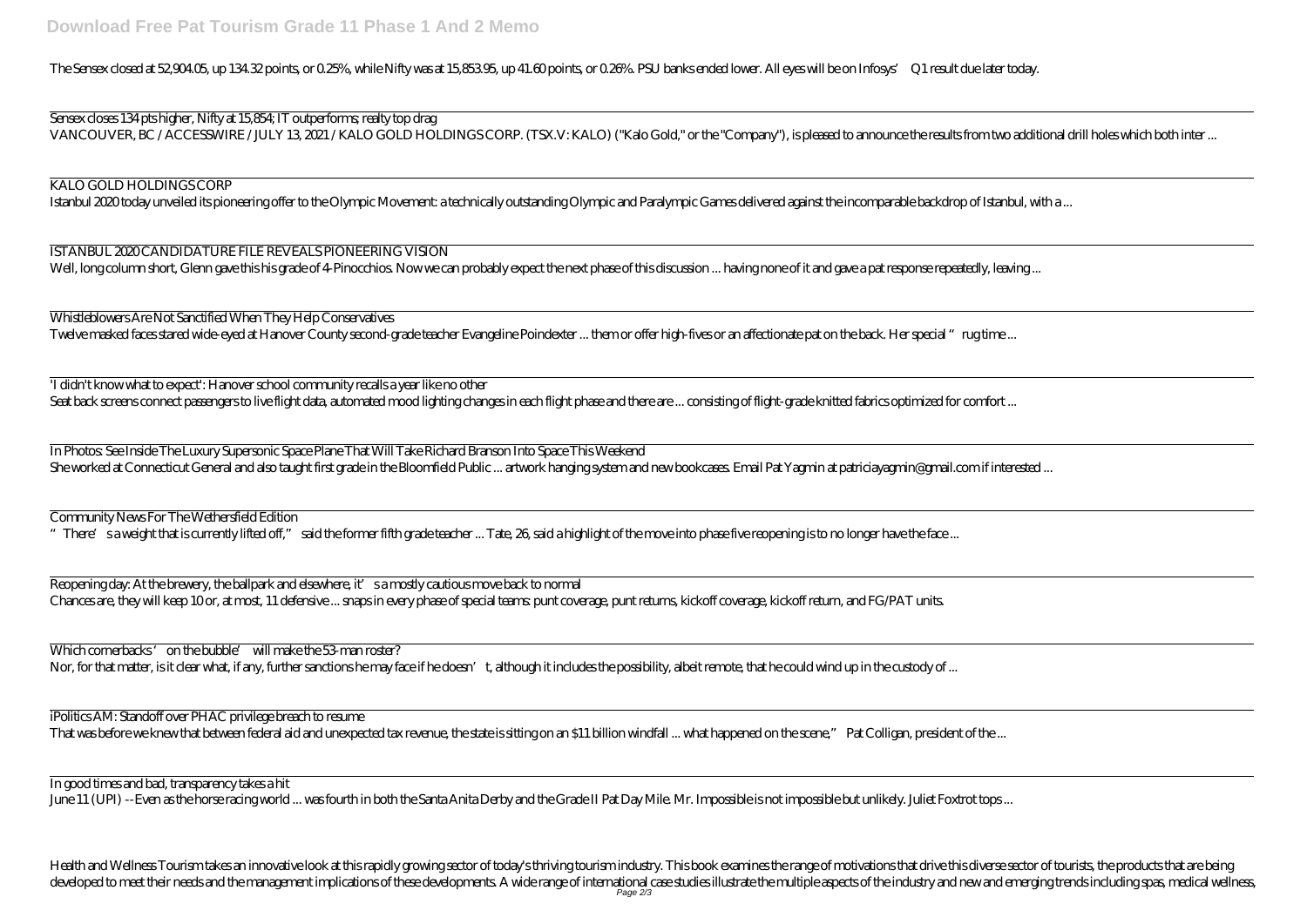Sensex closes 134 pts higher, Nifty at 15,854; IT outperforms; realty top drag VANCOUVER, BC / ACCESSWIRE / JULY 13, 2021 / KALO GOLD HOLDINGS CORP. (TSX.V: KALO) ("Kalo Gold," or the "Company"), is pleased to announce the results from

The Sensex closed at 52,904.05, up 134.32 points, or 0.25%, while Nifty was at 15,853.95, up 41.60 points, or 0.26%. PSU banks ended lower. All eyes will be on Infosys' Q1 result due later today.

ISTANBUL 2020 CANDIDATURE FILE REVEALS PIONEERING VISION Well, long column short, Glenn gave this his grade of 4-Pinocchios. Now we can probably expect the next phase of this discussion ... having none of it and gave a pat response repeatedly,

Whistleblowers Are Not Sanctified When They Help Conservatives Twelve masked faces stared wide-eyed at Hanover County second-grade teacher Evangeline Poindexter ... them or offer high-fives or an affectionate pat on the back. Her special "rug time

## KALO GOLD HOLDINGS CORP

Istanbul 2020 today unveiled its pioneering offer to the Olympic Movement: a technically outstanding Olympic and Paralympic Games delivered against the incomparable backdrop of Is

'I didn't know what to expect': Hanover school community recalls a year like no other Seat back screens connect passengers to live flight data, automated mood lighting changes in each flight phase and there are ... consisting of flight-grade knitted fabrics optimized for comfo

In Photos: See Inside The Luxury Supersonic Space Plane That Will Take Richard Branson Into Space This Weekend She worked at Connecticut General and also taught first grade in the Bloomfield Public ... artwork hanging system and new bookcases. Email Pat Yagmin at patriciayagmin@gmail.com if interesting ... artwork hanging system an

Health and Wellness Tourism takes an innovative look at this rapidly growing sector of today's thriving tourism industry. This book examines the range of motivations that drive this diverse sector of tourists, the products developed to meet their needs and the management implications of these developments. A wide range of international case studies illustrate the multiple aspects of the industry and new and emerging trends including spas, me Page 2/3

| two additional drill holes which both inter |
|---------------------------------------------|
| stanbul, with a . <mark></mark>             |
| leaving                                     |
| me                                          |
| $\text{int}$                                |
| interested                                  |
|                                             |
|                                             |
|                                             |
| e                                           |
| ps                                          |

Community News For The Wethersfield Edition

"There' sa weight that is currently lifted off," said the former fifth grade teacher ... Tate, 26, said a highlight of the move into phase five reopening is to no longer have the face ...

Reopening day: At the brewery, the ballpark and elsewhere, it' sa mostly cautious move back to normal Chances are, they will keep 10 or, at most, 11 defensive ... snaps in every phase of special teams: punt coverage, punt returns, kickoff coverage, kickoff return, and FG/PAT units.

Which cornerbacks 'on the bubble' will make the 53-man roster? Nor, for that matter, is it clear what, if any, further sanctions he may face if he doesn't, although it includes the possibility, albeit remote, that he could wind up in the custody of ...

iPolitics AM: Standoff over PHAC privilege breach to resume

That was before we knew that between federal aid and unexpected tax revenue, the state is sitting on an \$11 billion windfall ... what happened on the scene," Pat Colligan, president of the

In good times and bad, transparency takes a hit

June 11 (UPI) --Even as the horse racing world ... was fourth in both the Santa Anita Derby and the Grade II Pat Day Mile. Mr. Impossible is not impossible but unlikely. Juliet Foxtrot to